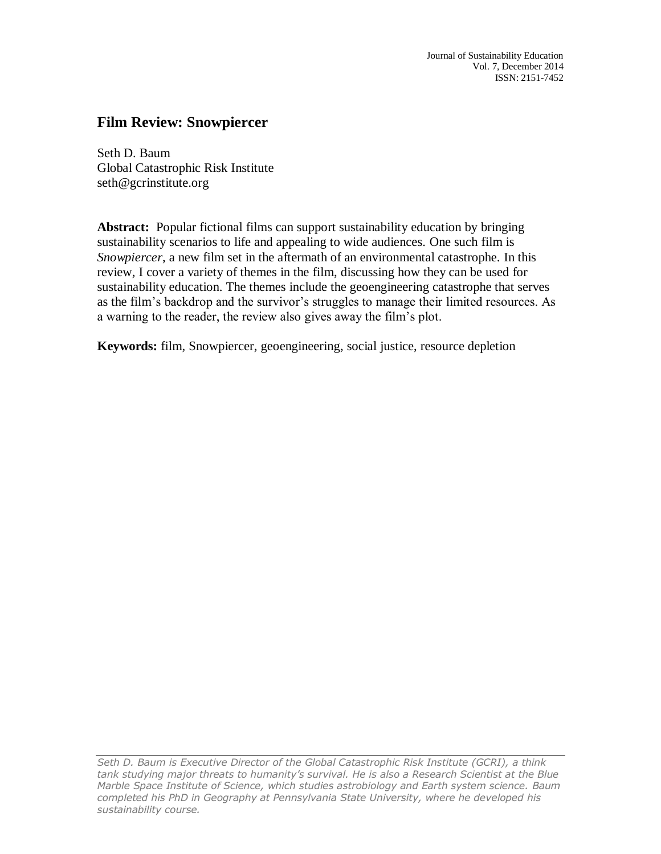# **Film Review: Snowpiercer**

Seth D. Baum Global Catastrophic Risk Institute seth@gcrinstitute.org

**Abstract:** Popular fictional films can support sustainability education by bringing sustainability scenarios to life and appealing to wide audiences. One such film is *Snowpiercer*, a new film set in the aftermath of an environmental catastrophe. In this review, I cover a variety of themes in the film, discussing how they can be used for sustainability education. The themes include the geoengineering catastrophe that serves as the film's backdrop and the survivor's struggles to manage their limited resources. As a warning to the reader, the review also gives away the film's plot.

**Keywords:** film, Snowpiercer, geoengineering, social justice, resource depletion

*Seth D. Baum is Executive Director of the Global Catastrophic Risk Institute (GCRI), a think tank studying major threats to humanity's survival. He is also a Research Scientist at the Blue Marble Space Institute of Science, which studies astrobiology and Earth system science. Baum*  completed his PhD in Geography at Pennsylvania State University, where he developed his *sustainability course.*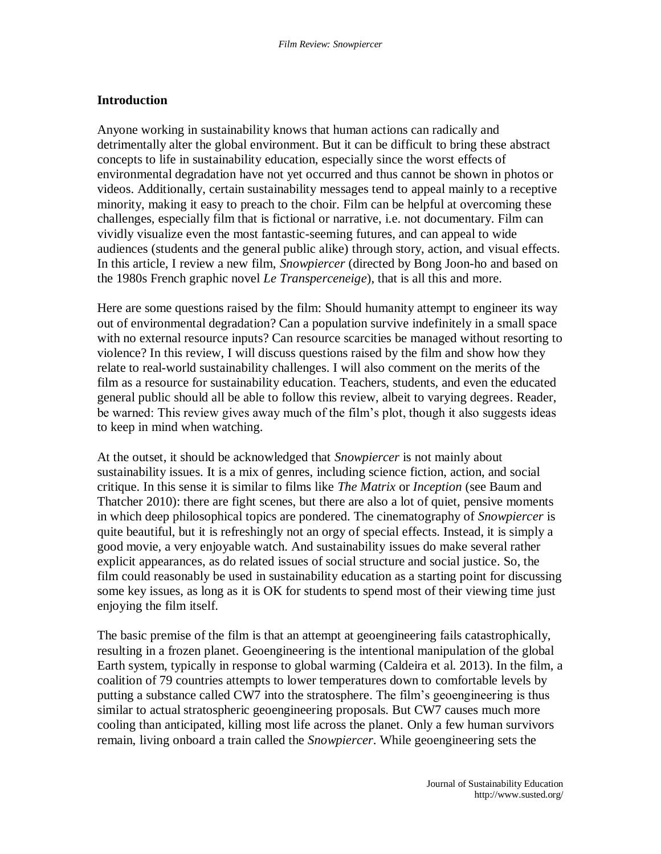# **Introduction**

Anyone working in sustainability knows that human actions can radically and detrimentally alter the global environment. But it can be difficult to bring these abstract concepts to life in sustainability education, especially since the worst effects of environmental degradation have not yet occurred and thus cannot be shown in photos or videos. Additionally, certain sustainability messages tend to appeal mainly to a receptive minority, making it easy to preach to the choir. Film can be helpful at overcoming these challenges, especially film that is fictional or narrative, i.e. not documentary. Film can vividly visualize even the most fantastic-seeming futures, and can appeal to wide audiences (students and the general public alike) through story, action, and visual effects. In this article, I review a new film, *Snowpiercer* (directed by Bong Joon-ho and based on the 1980s French graphic novel *Le Transperceneige*), that is all this and more.

Here are some questions raised by the film: Should humanity attempt to engineer its way out of environmental degradation? Can a population survive indefinitely in a small space with no external resource inputs? Can resource scarcities be managed without resorting to violence? In this review, I will discuss questions raised by the film and show how they relate to real-world sustainability challenges. I will also comment on the merits of the film as a resource for sustainability education. Teachers, students, and even the educated general public should all be able to follow this review, albeit to varying degrees. Reader, be warned: This review gives away much of the film's plot, though it also suggests ideas to keep in mind when watching.

At the outset, it should be acknowledged that *Snowpiercer* is not mainly about sustainability issues. It is a mix of genres, including science fiction, action, and social critique. In this sense it is similar to films like *The Matrix* or *Inception* (see Baum and Thatcher 2010): there are fight scenes, but there are also a lot of quiet, pensive moments in which deep philosophical topics are pondered. The cinematography of *Snowpiercer* is quite beautiful, but it is refreshingly not an orgy of special effects. Instead, it is simply a good movie, a very enjoyable watch. And sustainability issues do make several rather explicit appearances, as do related issues of social structure and social justice. So, the film could reasonably be used in sustainability education as a starting point for discussing some key issues, as long as it is OK for students to spend most of their viewing time just enjoying the film itself.

The basic premise of the film is that an attempt at geoengineering fails catastrophically, resulting in a frozen planet. Geoengineering is the intentional manipulation of the global Earth system, typically in response to global warming (Caldeira et al. 2013). In the film, a coalition of 79 countries attempts to lower temperatures down to comfortable levels by putting a substance called CW7 into the stratosphere. The film's geoengineering is thus similar to actual stratospheric geoengineering proposals. But CW7 causes much more cooling than anticipated, killing most life across the planet. Only a few human survivors remain, living onboard a train called the *Snowpiercer*. While geoengineering sets the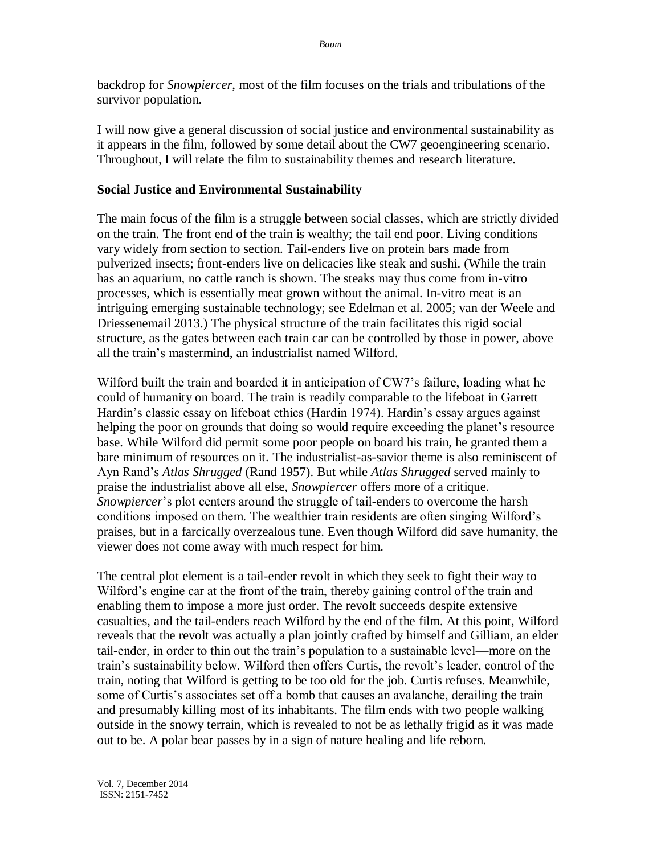backdrop for *Snowpiercer*, most of the film focuses on the trials and tribulations of the survivor population.

I will now give a general discussion of social justice and environmental sustainability as it appears in the film, followed by some detail about the CW7 geoengineering scenario. Throughout, I will relate the film to sustainability themes and research literature.

### **Social Justice and Environmental Sustainability**

The main focus of the film is a struggle between social classes, which are strictly divided on the train. The front end of the train is wealthy; the tail end poor. Living conditions vary widely from section to section. Tail-enders live on protein bars made from pulverized insects; front-enders live on delicacies like steak and sushi. (While the train has an aquarium, no cattle ranch is shown. The steaks may thus come from in-vitro processes, which is essentially meat grown without the animal. In-vitro meat is an intriguing emerging sustainable technology; see Edelman et al. 2005; van der Weele and Driessenemail 2013.) The physical structure of the train facilitates this rigid social structure, as the gates between each train car can be controlled by those in power, above all the train's mastermind, an industrialist named Wilford.

Wilford built the train and boarded it in anticipation of CW7's failure, loading what he could of humanity on board. The train is readily comparable to the lifeboat in Garrett Hardin's classic essay on lifeboat ethics (Hardin 1974). Hardin's essay argues against helping the poor on grounds that doing so would require exceeding the planet's resource base. While Wilford did permit some poor people on board his train, he granted them a bare minimum of resources on it. The industrialist-as-savior theme is also reminiscent of Ayn Rand's *Atlas Shrugged* (Rand 1957). But while *Atlas Shrugged* served mainly to praise the industrialist above all else, *Snowpiercer* offers more of a critique. *Snowpiercer*'s plot centers around the struggle of tail-enders to overcome the harsh conditions imposed on them. The wealthier train residents are often singing Wilford's praises, but in a farcically overzealous tune. Even though Wilford did save humanity, the viewer does not come away with much respect for him.

The central plot element is a tail-ender revolt in which they seek to fight their way to Wilford's engine car at the front of the train, thereby gaining control of the train and enabling them to impose a more just order. The revolt succeeds despite extensive casualties, and the tail-enders reach Wilford by the end of the film. At this point, Wilford reveals that the revolt was actually a plan jointly crafted by himself and Gilliam, an elder tail-ender, in order to thin out the train's population to a sustainable level—more on the train's sustainability below. Wilford then offers Curtis, the revolt's leader, control of the train, noting that Wilford is getting to be too old for the job. Curtis refuses. Meanwhile, some of Curtis's associates set off a bomb that causes an avalanche, derailing the train and presumably killing most of its inhabitants. The film ends with two people walking outside in the snowy terrain, which is revealed to not be as lethally frigid as it was made out to be. A polar bear passes by in a sign of nature healing and life reborn.

Vol. 7, December 2014 ISSN: 2151-7452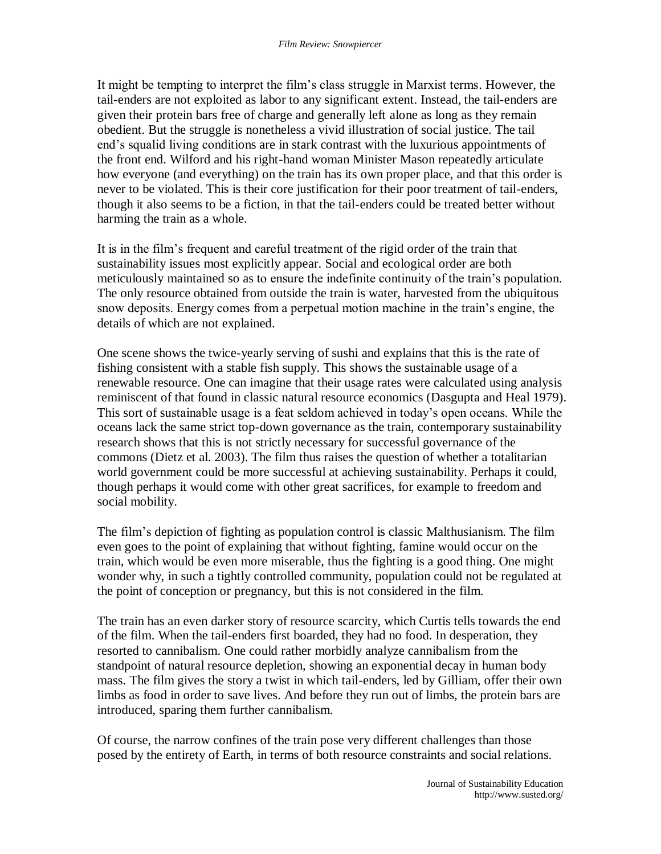It might be tempting to interpret the film's class struggle in Marxist terms. However, the tail-enders are not exploited as labor to any significant extent. Instead, the tail-enders are given their protein bars free of charge and generally left alone as long as they remain obedient. But the struggle is nonetheless a vivid illustration of social justice. The tail end's squalid living conditions are in stark contrast with the luxurious appointments of the front end. Wilford and his right-hand woman Minister Mason repeatedly articulate how everyone (and everything) on the train has its own proper place, and that this order is never to be violated. This is their core justification for their poor treatment of tail-enders, though it also seems to be a fiction, in that the tail-enders could be treated better without harming the train as a whole.

It is in the film's frequent and careful treatment of the rigid order of the train that sustainability issues most explicitly appear. Social and ecological order are both meticulously maintained so as to ensure the indefinite continuity of the train's population. The only resource obtained from outside the train is water, harvested from the ubiquitous snow deposits. Energy comes from a perpetual motion machine in the train's engine, the details of which are not explained.

One scene shows the twice-yearly serving of sushi and explains that this is the rate of fishing consistent with a stable fish supply. This shows the sustainable usage of a renewable resource. One can imagine that their usage rates were calculated using analysis reminiscent of that found in classic natural resource economics (Dasgupta and Heal 1979). This sort of sustainable usage is a feat seldom achieved in today's open oceans. While the oceans lack the same strict top-down governance as the train, contemporary sustainability research shows that this is not strictly necessary for successful governance of the commons (Dietz et al. 2003). The film thus raises the question of whether a totalitarian world government could be more successful at achieving sustainability. Perhaps it could, though perhaps it would come with other great sacrifices, for example to freedom and social mobility.

The film's depiction of fighting as population control is classic Malthusianism. The film even goes to the point of explaining that without fighting, famine would occur on the train, which would be even more miserable, thus the fighting is a good thing. One might wonder why, in such a tightly controlled community, population could not be regulated at the point of conception or pregnancy, but this is not considered in the film.

The train has an even darker story of resource scarcity, which Curtis tells towards the end of the film. When the tail-enders first boarded, they had no food. In desperation, they resorted to cannibalism. One could rather morbidly analyze cannibalism from the standpoint of natural resource depletion, showing an exponential decay in human body mass. The film gives the story a twist in which tail-enders, led by Gilliam, offer their own limbs as food in order to save lives. And before they run out of limbs, the protein bars are introduced, sparing them further cannibalism.

Of course, the narrow confines of the train pose very different challenges than those posed by the entirety of Earth, in terms of both resource constraints and social relations.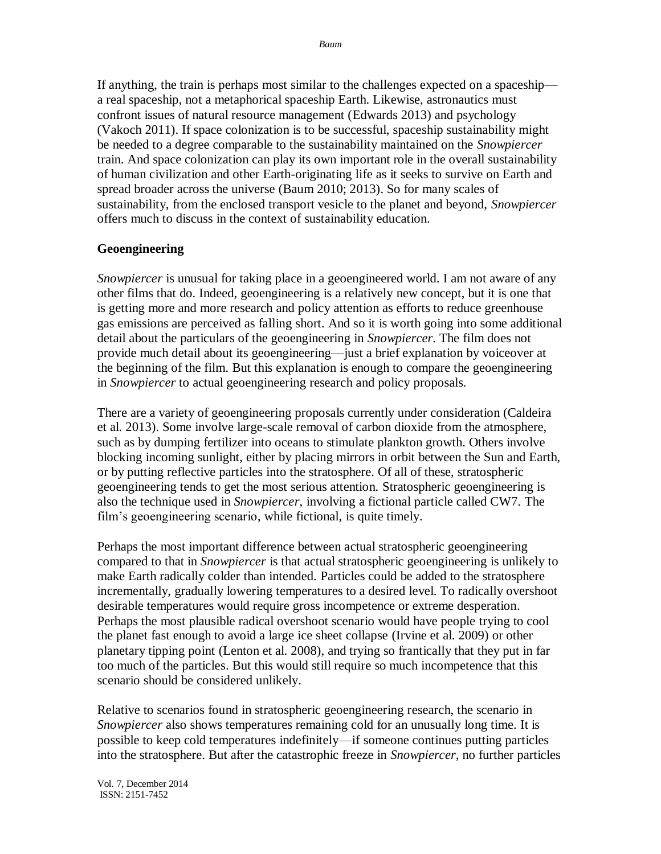If anything, the train is perhaps most similar to the challenges expected on a spaceship a real spaceship, not a metaphorical spaceship Earth. Likewise, astronautics must confront issues of natural resource management (Edwards 2013) and psychology (Vakoch 2011). If space colonization is to be successful, spaceship sustainability might be needed to a degree comparable to the sustainability maintained on the *Snowpiercer* train. And space colonization can play its own important role in the overall sustainability of human civilization and other Earth-originating life as it seeks to survive on Earth and spread broader across the universe (Baum 2010; 2013). So for many scales of sustainability, from the enclosed transport vesicle to the planet and beyond, *Snowpiercer* offers much to discuss in the context of sustainability education.

## **Geoengineering**

*Snowpiercer* is unusual for taking place in a geoengineered world. I am not aware of any other films that do. Indeed, geoengineering is a relatively new concept, but it is one that is getting more and more research and policy attention as efforts to reduce greenhouse gas emissions are perceived as falling short. And so it is worth going into some additional detail about the particulars of the geoengineering in *Snowpiercer*. The film does not provide much detail about its geoengineering—just a brief explanation by voiceover at the beginning of the film. But this explanation is enough to compare the geoengineering in *Snowpiercer* to actual geoengineering research and policy proposals.

There are a variety of geoengineering proposals currently under consideration (Caldeira et al. 2013). Some involve large-scale removal of carbon dioxide from the atmosphere, such as by dumping fertilizer into oceans to stimulate plankton growth. Others involve blocking incoming sunlight, either by placing mirrors in orbit between the Sun and Earth, or by putting reflective particles into the stratosphere. Of all of these, stratospheric geoengineering tends to get the most serious attention. Stratospheric geoengineering is also the technique used in *Snowpiercer*, involving a fictional particle called CW7. The film's geoengineering scenario, while fictional, is quite timely.

Perhaps the most important difference between actual stratospheric geoengineering compared to that in *Snowpiercer* is that actual stratospheric geoengineering is unlikely to make Earth radically colder than intended. Particles could be added to the stratosphere incrementally, gradually lowering temperatures to a desired level. To radically overshoot desirable temperatures would require gross incompetence or extreme desperation. Perhaps the most plausible radical overshoot scenario would have people trying to cool the planet fast enough to avoid a large ice sheet collapse (Irvine et al. 2009) or other planetary tipping point (Lenton et al. 2008), and trying so frantically that they put in far too much of the particles. But this would still require so much incompetence that this scenario should be considered unlikely.

Relative to scenarios found in stratospheric geoengineering research, the scenario in *Snowpiercer* also shows temperatures remaining cold for an unusually long time. It is possible to keep cold temperatures indefinitely—if someone continues putting particles into the stratosphere. But after the catastrophic freeze in *Snowpiercer*, no further particles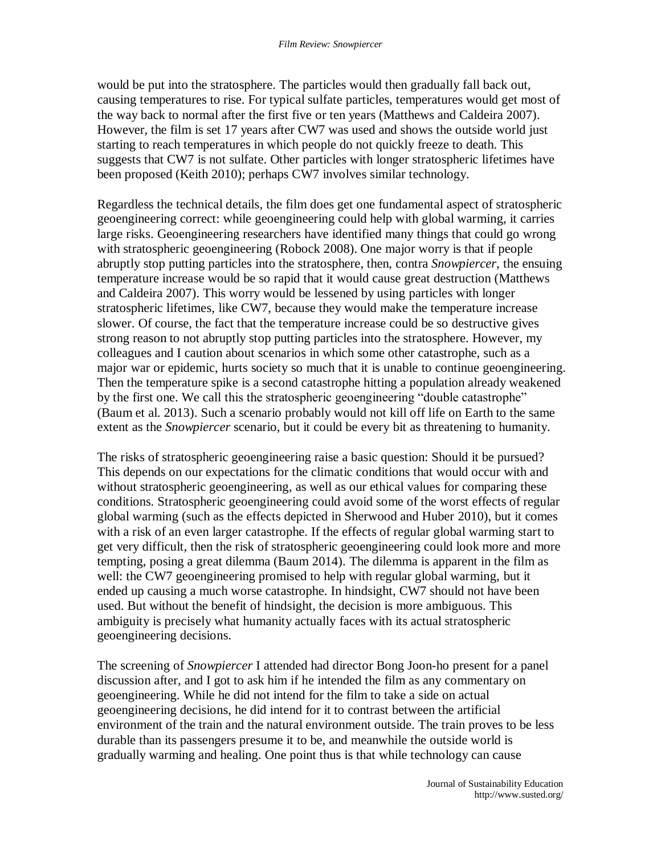would be put into the stratosphere. The particles would then gradually fall back out, causing temperatures to rise. For typical sulfate particles, temperatures would get most of the way back to normal after the first five or ten years (Matthews and Caldeira 2007). However, the film is set 17 years after CW7 was used and shows the outside world just starting to reach temperatures in which people do not quickly freeze to death. This suggests that CW7 is not sulfate. Other particles with longer stratospheric lifetimes have been proposed (Keith 2010); perhaps CW7 involves similar technology.

Regardless the technical details, the film does get one fundamental aspect of stratospheric geoengineering correct: while geoengineering could help with global warming, it carries large risks. Geoengineering researchers have identified many things that could go wrong with stratospheric geoengineering (Robock 2008). One major worry is that if people abruptly stop putting particles into the stratosphere, then, contra *Snowpiercer*, the ensuing temperature increase would be so rapid that it would cause great destruction (Matthews and Caldeira 2007). This worry would be lessened by using particles with longer stratospheric lifetimes, like CW7, because they would make the temperature increase slower. Of course, the fact that the temperature increase could be so destructive gives strong reason to not abruptly stop putting particles into the stratosphere. However, my colleagues and I caution about scenarios in which some other catastrophe, such as a major war or epidemic, hurts society so much that it is unable to continue geoengineering. Then the temperature spike is a second catastrophe hitting a population already weakened by the first one. We call this the stratospheric geoengineering "double catastrophe" (Baum et al. 2013). Such a scenario probably would not kill off life on Earth to the same extent as the *Snowpiercer* scenario, but it could be every bit as threatening to humanity.

The risks of stratospheric geoengineering raise a basic question: Should it be pursued? This depends on our expectations for the climatic conditions that would occur with and without stratospheric geoengineering, as well as our ethical values for comparing these conditions. Stratospheric geoengineering could avoid some of the worst effects of regular global warming (such as the effects depicted in Sherwood and Huber 2010), but it comes with a risk of an even larger catastrophe. If the effects of regular global warming start to get very difficult, then the risk of stratospheric geoengineering could look more and more tempting, posing a great dilemma (Baum 2014). The dilemma is apparent in the film as well: the CW7 geoengineering promised to help with regular global warming, but it ended up causing a much worse catastrophe. In hindsight, CW7 should not have been used. But without the benefit of hindsight, the decision is more ambiguous. This ambiguity is precisely what humanity actually faces with its actual stratospheric geoengineering decisions.

The screening of *Snowpiercer* I attended had director Bong Joon-ho present for a panel discussion after, and I got to ask him if he intended the film as any commentary on geoengineering. While he did not intend for the film to take a side on actual geoengineering decisions, he did intend for it to contrast between the artificial environment of the train and the natural environment outside. The train proves to be less durable than its passengers presume it to be, and meanwhile the outside world is gradually warming and healing. One point thus is that while technology can cause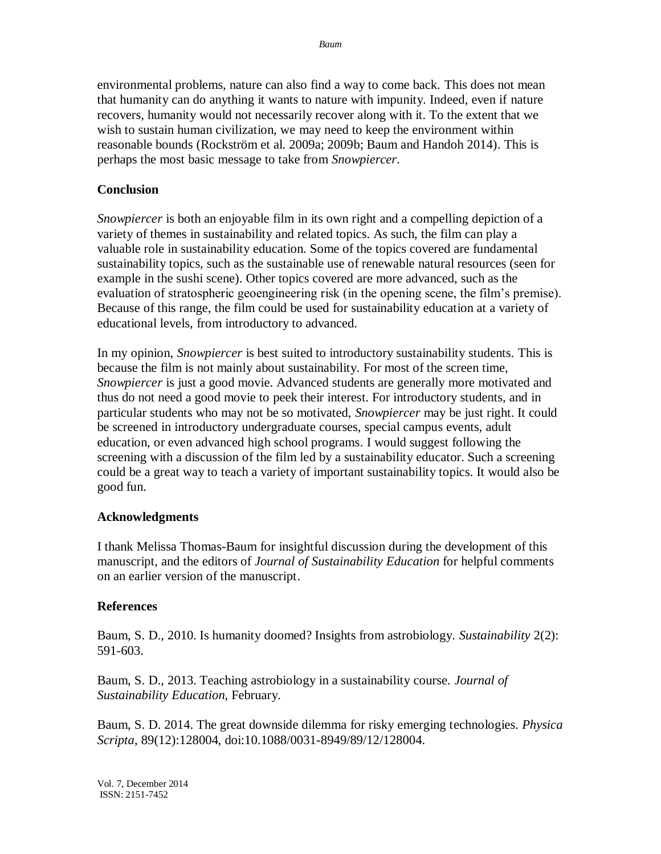environmental problems, nature can also find a way to come back. This does not mean that humanity can do anything it wants to nature with impunity. Indeed, even if nature recovers, humanity would not necessarily recover along with it. To the extent that we wish to sustain human civilization, we may need to keep the environment within reasonable bounds (Rockström et al. 2009a; 2009b; Baum and Handoh 2014). This is perhaps the most basic message to take from *Snowpiercer*.

### **Conclusion**

*Snowpiercer* is both an enjoyable film in its own right and a compelling depiction of a variety of themes in sustainability and related topics. As such, the film can play a valuable role in sustainability education. Some of the topics covered are fundamental sustainability topics, such as the sustainable use of renewable natural resources (seen for example in the sushi scene). Other topics covered are more advanced, such as the evaluation of stratospheric geoengineering risk (in the opening scene, the film's premise). Because of this range, the film could be used for sustainability education at a variety of educational levels, from introductory to advanced.

In my opinion, *Snowpiercer* is best suited to introductory sustainability students. This is because the film is not mainly about sustainability. For most of the screen time, *Snowpiercer* is just a good movie. Advanced students are generally more motivated and thus do not need a good movie to peek their interest. For introductory students, and in particular students who may not be so motivated, *Snowpiercer* may be just right. It could be screened in introductory undergraduate courses, special campus events, adult education, or even advanced high school programs. I would suggest following the screening with a discussion of the film led by a sustainability educator. Such a screening could be a great way to teach a variety of important sustainability topics. It would also be good fun.

#### **Acknowledgments**

I thank Melissa Thomas-Baum for insightful discussion during the development of this manuscript, and the editors of *Journal of Sustainability Education* for helpful comments on an earlier version of the manuscript.

#### **References**

Baum, S. D., 2010. Is humanity doomed? Insights from astrobiology. *Sustainability* 2(2): 591-603.

Baum, S. D., 2013. Teaching astrobiology in a sustainability course. *Journal of Sustainability Education*, February.

Baum, S. D. 2014. The great downside dilemma for risky emerging technologies. *Physica Scripta*, 89(12):128004, doi:10.1088/0031-8949/89/12/128004.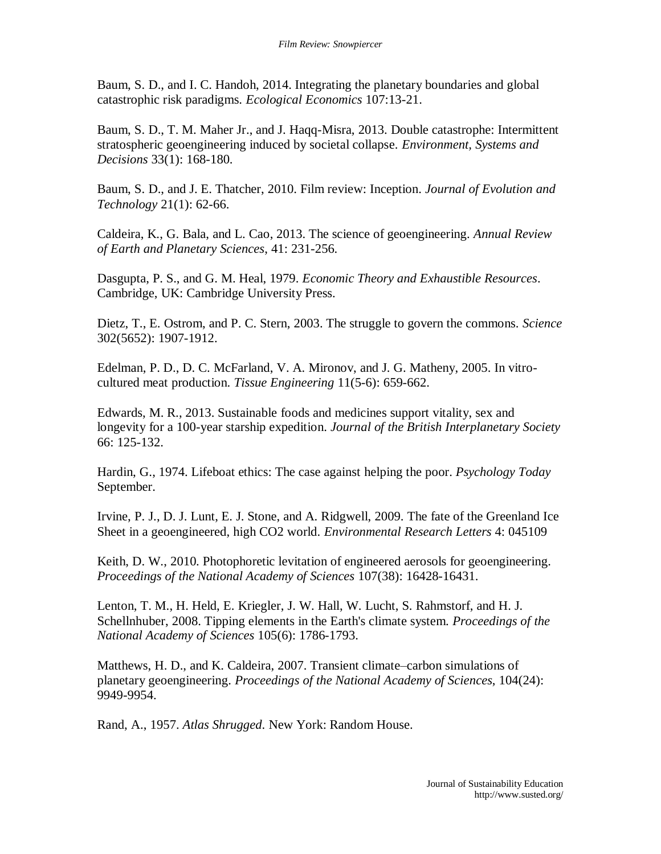Baum, S. D., and I. C. Handoh, 2014. Integrating the planetary boundaries and global catastrophic risk paradigms. *Ecological Economics* 107:13-21.

Baum, S. D., T. M. Maher Jr., and J. Haqq-Misra, 2013. Double catastrophe: Intermittent stratospheric geoengineering induced by societal collapse. *Environment, Systems and Decisions* 33(1): 168-180.

Baum, S. D., and J. E. Thatcher, 2010. Film review: Inception. *Journal of Evolution and Technology* 21(1): 62-66.

Caldeira, K., G. Bala, and L. Cao, 2013. The science of geoengineering. *Annual Review of Earth and Planetary Sciences*, 41: 231-256.

Dasgupta, P. S., and G. M. Heal, 1979. *Economic Theory and Exhaustible Resources*. Cambridge, UK: Cambridge University Press.

Dietz, T., E. Ostrom, and P. C. Stern, 2003. The struggle to govern the commons. *Science* 302(5652): 1907-1912.

Edelman, P. D., D. C. McFarland, V. A. Mironov, and J. G. Matheny, 2005. In vitrocultured meat production. *Tissue Engineering* 11(5-6): 659-662.

Edwards, M. R., 2013. Sustainable foods and medicines support vitality, sex and longevity for a 100-year starship expedition. *Journal of the British Interplanetary Society* 66: 125-132.

Hardin, G., 1974. Lifeboat ethics: The case against helping the poor. *Psychology Today* September.

Irvine, P. J., D. J. Lunt, E. J. Stone, and A. Ridgwell, 2009. The fate of the Greenland Ice Sheet in a geoengineered, high CO2 world. *Environmental Research Letters* 4: 045109

Keith, D. W., 2010. Photophoretic levitation of engineered aerosols for geoengineering. *Proceedings of the National Academy of Sciences* 107(38): 16428-16431.

Lenton, T. M., H. Held, E. Kriegler, J. W. Hall, W. Lucht, S. Rahmstorf, and H. J. Schellnhuber, 2008. Tipping elements in the Earth's climate system. *Proceedings of the National Academy of Sciences* 105(6): 1786-1793.

Matthews, H. D., and K. Caldeira, 2007. Transient climate–carbon simulations of planetary geoengineering. *Proceedings of the National Academy of Sciences*, 104(24): 9949-9954.

Rand, A., 1957. *Atlas Shrugged*. New York: Random House.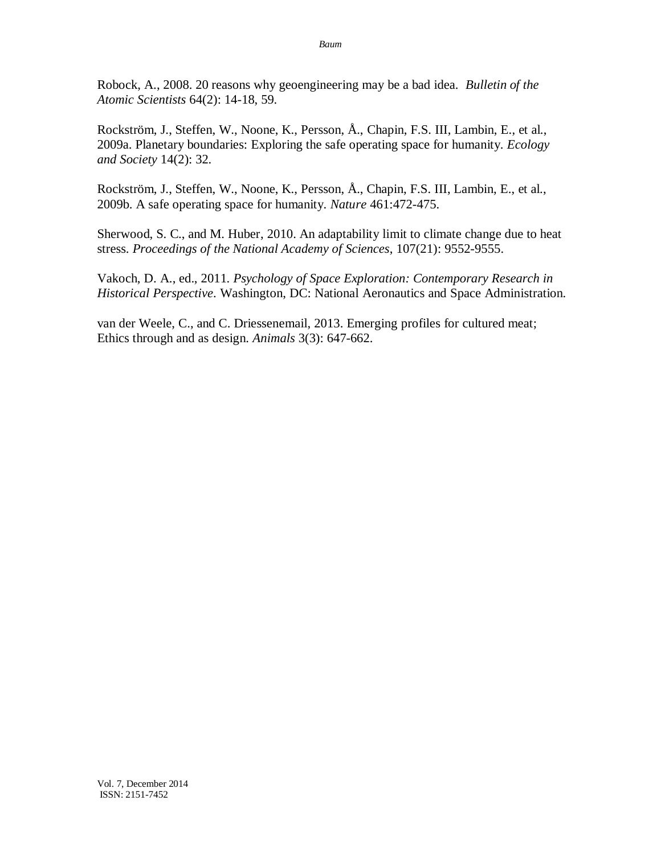Robock, A., 2008. 20 reasons why geoengineering may be a bad idea. *Bulletin of the Atomic Scientists* 64(2): 14-18, 59.

Rockström, J., Steffen, W., Noone, K., Persson, Å., Chapin, F.S. III, Lambin, E., et al., 2009a. Planetary boundaries: Exploring the safe operating space for humanity. *Ecology and Society* 14(2): 32.

Rockström, J., Steffen, W., Noone, K., Persson, Å., Chapin, F.S. III, Lambin, E., et al., 2009b. A safe operating space for humanity. *Nature* 461:472-475.

Sherwood, S. C., and M. Huber, 2010. An adaptability limit to climate change due to heat stress. *Proceedings of the National Academy of Sciences*, 107(21): 9552-9555.

Vakoch, D. A., ed., 2011. *Psychology of Space Exploration: Contemporary Research in Historical Perspective*. Washington, DC: National Aeronautics and Space Administration.

van der Weele, C., and C. Driessenemail, 2013. Emerging profiles for cultured meat; Ethics through and as design. *Animals* 3(3): 647-662.